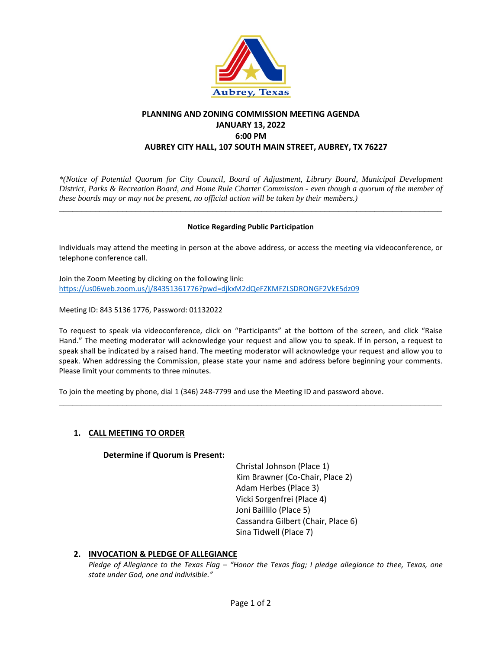

## **PLANNING AND ZONING COMMISSION MEETING AGENDA JANUARY 13, 2022 6:00 PM AUBREY CITY HALL, 107 SOUTH MAIN STREET, AUBREY, TX 76227**

*\*(Notice of Potential Quorum for City Council, Board of Adjustment, Library Board, Municipal Development District, Parks & Recreation Board, and Home Rule Charter Commission - even though a quorum of the member of these boards may or may not be present, no official action will be taken by their members.)*

#### **Notice Regarding Public Participation**

\_\_\_\_\_\_\_\_\_\_\_\_\_\_\_\_\_\_\_\_\_\_\_\_\_\_\_\_\_\_\_\_\_\_\_\_\_\_\_\_\_\_\_\_\_\_\_\_\_\_\_\_\_\_\_\_\_\_\_\_\_\_\_\_\_\_\_\_\_\_\_\_\_\_\_\_\_\_\_\_\_\_\_\_\_

Individuals may attend the meeting in person at the above address, or access the meeting via videoconference, or telephone conference call.

Join the Zoom Meeting by clicking on the following link: <https://us06web.zoom.us/j/84351361776?pwd=djkxM2dQeFZKMFZLSDRONGF2VkE5dz09>

Meeting ID: 843 5136 1776, Password: 01132022

To request to speak via videoconference, click on "Participants" at the bottom of the screen, and click "Raise Hand." The meeting moderator will acknowledge your request and allow you to speak. If in person, a request to speak shall be indicated by a raised hand. The meeting moderator will acknowledge your request and allow you to speak. When addressing the Commission, please state your name and address before beginning your comments. Please limit your comments to three minutes.

\_\_\_\_\_\_\_\_\_\_\_\_\_\_\_\_\_\_\_\_\_\_\_\_\_\_\_\_\_\_\_\_\_\_\_\_\_\_\_\_\_\_\_\_\_\_\_\_\_\_\_\_\_\_\_\_\_\_\_\_\_\_\_\_\_\_\_\_\_\_\_\_\_\_\_\_\_\_\_\_\_\_\_\_\_

To join the meeting by phone, dial 1 (346) 248-7799 and use the Meeting ID and password above.

### **1. CALL MEETING TO ORDER**

#### **Determine if Quorum is Present:**

Christal Johnson (Place 1) Kim Brawner (Co-Chair, Place 2) Adam Herbes (Place 3) Vicki Sorgenfrei (Place 4) Joni Baillilo (Place 5) Cassandra Gilbert (Chair, Place 6) Sina Tidwell (Place 7)

### **2. INVOCATION & PLEDGE OF ALLEGIANCE**

*Pledge of Allegiance to the Texas Flag – "Honor the Texas flag; I pledge allegiance to thee, Texas, one state under God, one and indivisible."*